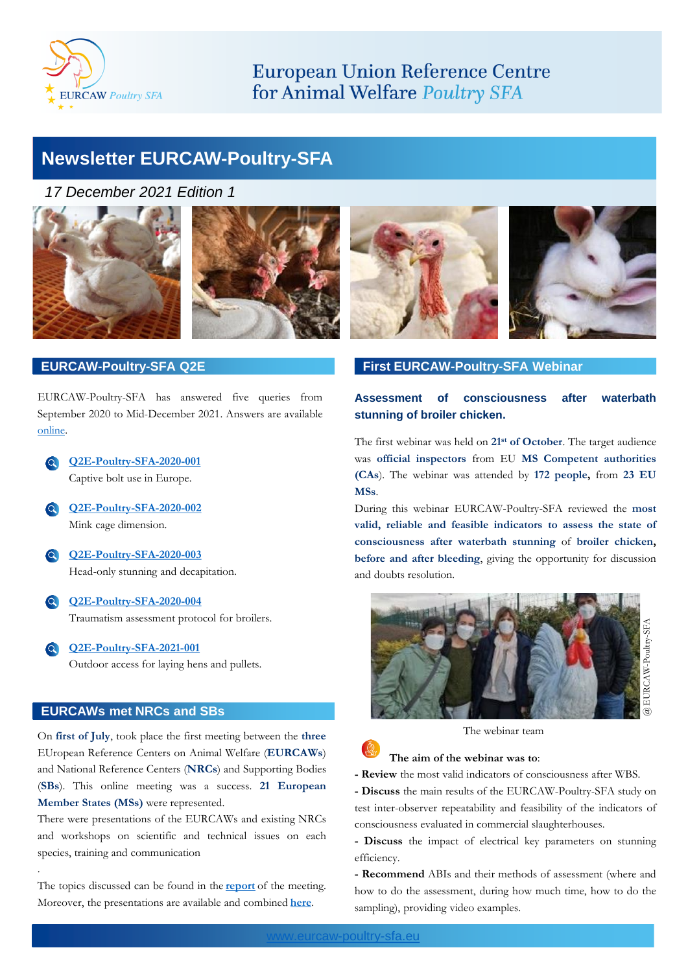

# **European Union Reference Centre** for Animal Welfare Poultry SFA

# **Newsletter EURCAW-Poultry-SFA**

*17 December 2021 Edition 1*





## **EURCAW-Poultry-SFA Q2E**

EURCAW-Poultry-SFA has answered five queries from September 2020 to Mid-December 2021. Answers are available [online](https://www.eurcaw-poultry-sfa.eu/en/minisite/sfawc/question-eurcaw-q2e).

**[Q2E-Poultry-SFA-2020-001](https://sitesv2.anses.fr/en/system/files/Answer_querry-001-2020-11.03.21.pdf)** Captive bolt use in Europe.

- **[Q2E-Poultry-SFA-2020-002](https://sitesv2.anses.fr/en/system/files/Answer_Q2E-Poultry-SFA-2020-002.pdf)** Mink cage dimension.
- **[Q2E-Poultry-SFA-2020-003](https://sitesv2.anses.fr/en/system/files/Answer%20003-2020%20.pdf)** Head-only stunning and decapitation.
- **[Q2E-Poultry-SFA-2020-004](https://sitesv2.anses.fr/en/system/files/Answer-004-2020-ENG.pdf)** Traumatism assessment protocol for broilers.
- **[Q2E-Poultry-SFA-2021-001](https://sitesv2.anses.fr/en/system/files/Answer-Q2E-Poultry-SFA-2021-001.pdf)** Outdoor access for laying hens and pullets.

## **EURCAWs met NRCs and SBs**

.

On **first of July**, took place the first meeting between the **three** EUropean Reference Centers on Animal Welfare (**EURCAWs**) and National Reference Centers (**NRCs**) and Supporting Bodies (**SBs**). This online meeting was a success. **21 European Member States (MSs)** were represented.

There were presentations of the EURCAWs and existing NRCs and workshops on scientific and technical issues on each species, training and communication

The topics discussed can be found in the **[report](https://sitesv2.anses.fr/en/system/files/report_eurcaws_meeting_for_national_reference_cen-groen_kennisnet_555450.pdf)** of the meeting. Moreover, the presentations are available and combined **[here](https://sitesv2.anses.fr/en/system/files/all_presentations_eurcaws_meeting_for_national_re-groen_kennisnet_555451.pdf)**.



## **First EURCAW-Poultry-SFA Webinar**

## **Assessment of consciousness after waterbath stunning of broiler chicken.**

The first webinar was held on **21st of October**. The target audience was **official inspectors** from EU **MS Competent authorities (CAs**). The webinar was attended by **172 people,** from **23 EU MSs**.

During this webinar EURCAW-Poultry-SFA reviewed the **most valid, reliable and feasible indicators to assess the state of consciousness after waterbath stunning** of **broiler chicken, before and after bleeding**, giving the opportunity for discussion and doubts resolution.



The webinar team

### **The aim of the webinar was to**:

**- Review** the most valid indicators of consciousness after WBS.

**- Discuss** the main results of the EURCAW-Poultry-SFA study on test inter-observer repeatability and feasibility of the indicators of consciousness evaluated in commercial slaughterhouses.

**- Discuss** the impact of electrical key parameters on stunning efficiency.

**- Recommend** ABIs and their methods of assessment (where and how to do the assessment, during how much time, how to do the sampling), providing video examples.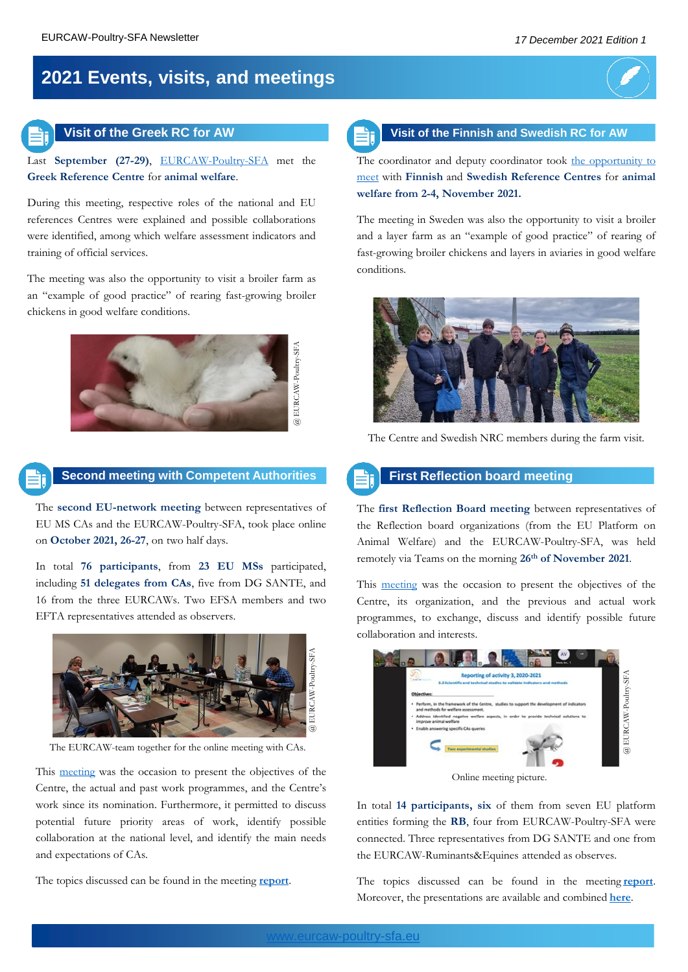# **2021 Events, visits, and meetings**



Last **September (27-29)**, [EURCAW-Poultry-SFA](https://www.eurcaw-poultry-sfa.eu/en/minisite/sfawc/visit-greek-reference-centre-animal-welfare) met the **Greek Reference Centre** for **animal welfare**.

During this meeting, respective roles of the national and EU references Centres were explained and possible collaborations were identified, among which welfare assessment indicators and training of official services.

The meeting was also the opportunity to visit a broiler farm as an "example of good practice" of rearing fast-growing broiler chickens in good welfare conditions.





**Second meeting with Competent Authorities**

The **second EU-network meeting** between representatives of EU MS CAs and the EURCAW-Poultry-SFA, took place online on **October 2021, 26-27**, on two half days.

In total **76 participants**, from **23 EU MSs** participated, including **51 delegates from CAs**, five from DG SANTE, and 16 from the three EURCAWs. Two EFSA members and two EFTA representatives attended as observers.



The EURCAW-team together for the online meeting with CAs.

This [meeting](https://www.eurcaw-poultry-sfa.eu/en/minisite/sfawc/second-meeting-between-centre-and-competent-authorities-representatives) was the occasion to present the objectives of the Centre, the actual and past work programmes, and the Centre's work since its nomination. Furthermore, it permitted to discuss potential future priority areas of work, identify possible collaboration at the national level, and identify the main needs and expectations of CAs.

The topics discussed can be found in the meeting **[report](https://sitesv2.anses.fr/en/system/files/EURCAW-Poultry-SFA_2021-2ndCAs_meeting_report.pdf)**.



The coordinator and deputy coordinator took the [opportunity](https://www.eurcaw-poultry-sfa.eu/en/minisite/sfawc/visit-finnish-and-swedish-reference-centres-animal-welfare) to meet with **Finnish** and **Swedish Reference Centres** for **animal welfare from 2-4, November 2021.**

The meeting in Sweden was also the opportunity to visit a broiler and a layer farm as an "example of good practice" of rearing of fast-growing broiler chickens and layers in aviaries in good welfare conditions.



The Centre and Swedish NRC members during the farm visit.

**First Reflection board meeting**

The **first Reflection Board meeting** between representatives of the Reflection board organizations (from the EU Platform on Animal Welfare) and the EURCAW-Poultry-SFA, was held remotely via Teams on the morning **26th of November 2021**.

This [meeting](https://www.eurcaw-poultry-sfa.eu/en/minisite/sfawc/first-meeting-between-centre-and-its-reflection-board) was the occasion to present the objectives of the Centre, its organization, and the previous and actual work programmes, to exchange, discuss and identify possible future collaboration and interests.



Online meeting picture.

In total **14 participants, six** of them from seven EU platform entities forming the **RB**, four from EURCAW-Poultry-SFA were connected. Three representatives from DG SANTE and one from the EURCAW-Ruminants&Equines attended as observes.

The topics discussed can be found in the meeting **[report](https://sitesv2.anses.fr/en/system/files/EURCAW-Poultry-SFA_2021-DL.1.1.4-RB%20meeting%20report%20%281%29.pdf)**. Moreover, the presentations are available and combined **[here](https://sitesv2.anses.fr/en/system/files/EURCAW-Poultry-SFA-RB-26.11.21%20%281%29.pdf)**.